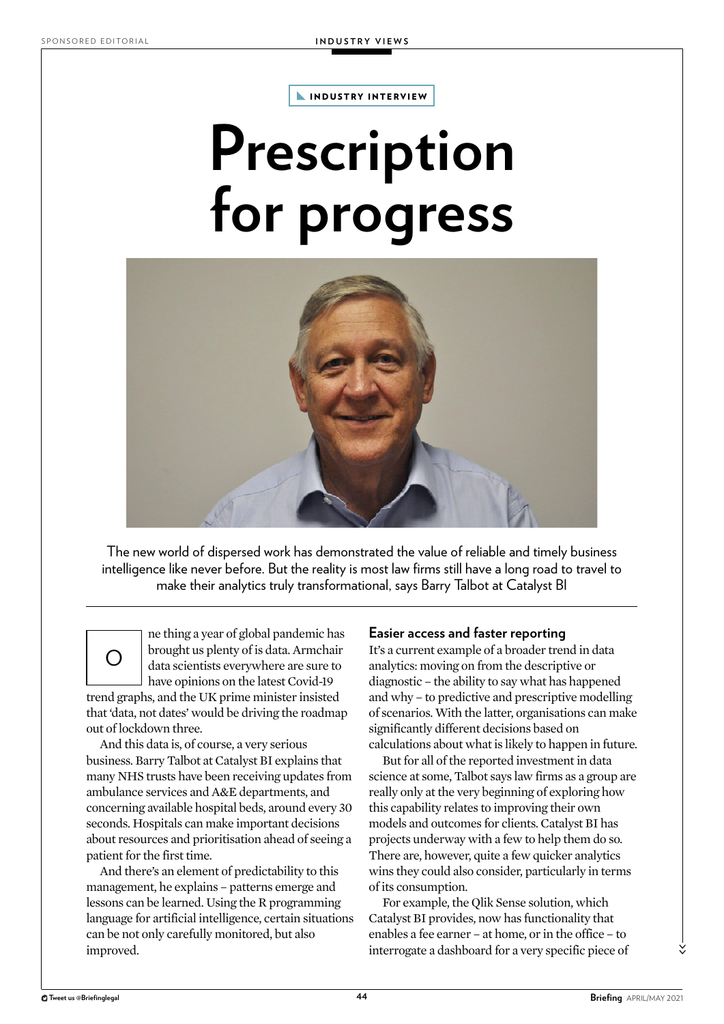**INDUSTRY INTERVIEW** 

## **Prescription for progress**



The new world of dispersed work has demonstrated the value of reliable and timely business intelligence like never before. But the reality is most law firms still have a long road to travel to make their analytics truly transformational, says Barry Talbot at Catalyst BI

 $\bigcirc$ ne thing a year of global pandemic has brought us plenty of is data. Armchair data scientists everywhere are sure to have opinions on the latest Covid-19 trend graphs, and the UK prime minister insisted that 'data, not dates' would be driving the roadmap out of lockdown three.

And this data is, of course, a very serious business. Barry Talbot at Catalyst BI explains that many NHS trusts have been receiving updates from ambulance services and A&E departments, and concerning available hospital beds, around every 30 seconds. Hospitals can make important decisions about resources and prioritisation ahead of seeing a patient for the first time.

And there's an element of predictability to this management, he explains – patterns emerge and lessons can be learned. Using the R programming language for artificial intelligence, certain situations can be not only carefully monitored, but also improved.

## **Easier access and faster reporting**

It's a current example of a broader trend in data analytics: moving on from the descriptive or diagnostic – the ability to say what has happened and why – to predictive and prescriptive modelling of scenarios. With the latter, organisations can make significantly different decisions based on calculations about what is likely to happen in future.

But for all of the reported investment in data science at some, Talbot says law firms as a group are really only at the very beginning of exploring how this capability relates to improving their own models and outcomes for clients. Catalyst BI has projects underway with a few to help them do so. There are, however, quite a few quicker analytics wins they could also consider, particularly in terms of its consumption.

For example, the Qlik Sense solution, which Catalyst BI provides, now has functionality that enables a fee earner – at home, or in the office – to interrogate a dashboard for a very specific piece of

>>